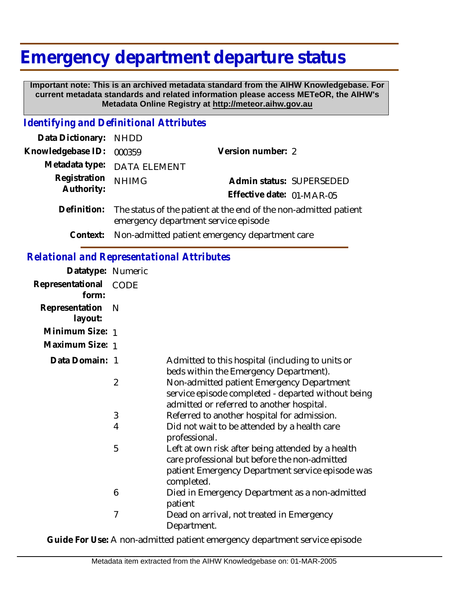## **Emergency department departure status**

 **Important note: This is an archived metadata standard from the AIHW Knowledgebase. For current metadata standards and related information please access METeOR, the AIHW's Metadata Online Registry at http://meteor.aihw.gov.au**

## *Identifying and Definitional Attributes*

| Data Dictionary: NHDD    |                                                                                                                      |                           |                          |
|--------------------------|----------------------------------------------------------------------------------------------------------------------|---------------------------|--------------------------|
| Knowledgebase ID: 000359 |                                                                                                                      | Version number: 2         |                          |
|                          | Metadata type: DATA ELEMENT                                                                                          |                           |                          |
| Registration             | <b>NHIMG</b>                                                                                                         |                           | Admin status: SUPERSEDED |
| Authority:               |                                                                                                                      | Effective date: 01-MAR-05 |                          |
|                          | Definition: The status of the patient at the end of the non-admitted patient<br>emergency department service episode |                           |                          |

**Context:** Non-admitted patient emergency department care

## *Relational and Representational Attributes*

| Datatype: Numeric         |      |                                                                                                                                                                      |
|---------------------------|------|----------------------------------------------------------------------------------------------------------------------------------------------------------------------|
| Representational<br>form: | CODE |                                                                                                                                                                      |
| Representation<br>layout: | N    |                                                                                                                                                                      |
| Minimum Size: 1           |      |                                                                                                                                                                      |
| Maximum Size: 1           |      |                                                                                                                                                                      |
| Data Domain: 1            |      | Admitted to this hospital (including to units or<br>beds within the Emergency Department).                                                                           |
|                           | 2    | Non-admitted patient Emergency Department<br>service episode completed - departed without being<br>admitted or referred to another hospital.                         |
|                           | 3    | Referred to another hospital for admission.                                                                                                                          |
|                           | 4    | Did not wait to be attended by a health care<br>professional.                                                                                                        |
|                           | 5    | Left at own risk after being attended by a health<br>care professional but before the non-admitted<br>patient Emergency Department service episode was<br>completed. |
|                           | 6    | Died in Emergency Department as a non-admitted<br>patient                                                                                                            |
|                           | 7    | Dead on arrival, not treated in Emergency<br>Department.                                                                                                             |

**Guide For Use:** A non-admitted patient emergency department service episode